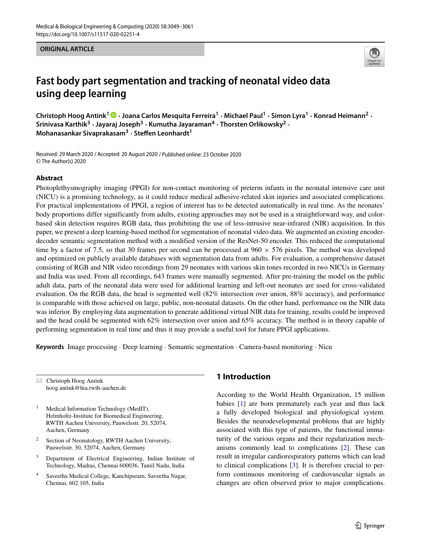**ORIGINAL ARTICLE**



# **Fast body part segmentation and tracking of neonatal video data using deep learning**

**Christoph Hoog Antink<sup>1</sup>** · **Joana Carlos Mesquita Ferreira<sup>1</sup>** · **Michael Paul<sup>1</sup>** · **Simon Lyra<sup>1</sup>** · **Konrad Heimann<sup>2</sup>** · **Srinivasa Karthik<sup>3</sup>** · **Jayaraj Joseph<sup>3</sup>** · **Kumutha Jayaraman<sup>4</sup>** · **Thorsten Orlikowsky<sup>2</sup>** · **Mohanasankar Sivaprakasam<sup>3</sup>** · **Steffen Leonhardt<sup>1</sup>**

Received: 29 March 2020 / Accepted: 20 August 2020 / Published online: 23 October 2020 © The Author(s) 2020

#### **Abstract**

Photoplethysmography imaging (PPGI) for non-contact monitoring of preterm infants in the neonatal intensive care unit (NICU) is a promising technology, as it could reduce medical adhesive-related skin injuries and associated complications. For practical implementations of PPGI, a region of interest has to be detected automatically in real time. As the neonates' body proportions differ significantly from adults, existing approaches may not be used in a straightforward way, and colorbased skin detection requires RGB data, thus prohibiting the use of less-intrusive near-infrared (NIR) acquisition. In this paper, we present a deep learning-based method for segmentation of neonatal video data. We augmented an existing encoderdecoder semantic segmentation method with a modified version of the ResNet-50 encoder. This reduced the computational time by a factor of 7.5, so that 30 frames per second can be processed at  $960 \times 576$  pixels. The method was developed and optimized on publicly available databases with segmentation data from adults. For evaluation, a comprehensive dataset consisting of RGB and NIR video recordings from 29 neonates with various skin tones recorded in two NICUs in Germany and India was used. From all recordings, 643 frames were manually segmented. After pre-training the model on the public adult data, parts of the neonatal data were used for additional learning and left-out neonates are used for cross-validated evaluation. On the RGB data, the head is segmented well (82% intersection over union, 88% accuracy), and performance is comparable with those achieved on large, public, non-neonatal datasets. On the other hand, performance on the NIR data was inferior. By employing data augmentation to generate additional virtual NIR data for training, results could be improved and the head could be segmented with 62% intersection over union and 65% accuracy. The method is in theory capable of performing segmentation in real time and thus it may provide a useful tool for future PPGI applications.

**Keywords** Image processing · Deep learning · Semantic segmentation · Camera-based monitoring · Nicu

- Christoph Hoog Antink [hoog.antink@hia.rwth-aachen.de](mailto: hoog.antink@hia.rwth-aachen.de)

<sup>1</sup> Medical Information Technology (MedIT), Helmholtz-Institute for Biomedical Engineering, RWTH Aachen University, Pauwelsstr. 20, 52074, Aachen, Germany

- <sup>2</sup> Section of Neonatology, RWTH Aachen University, Pauwelsstr. 30, 52074, Aachen, Germany
- <sup>3</sup> Department of Electrical Engineering, Indian Institute of Technology, Madras, Chennai 600036, Tamil Nadu, India
- <sup>4</sup> Saveetha Medical College, Kanchipuram, Saveetha Nagar, Chennai, 602 105, India

## **1 Introduction**

According to the World Health Organization, 15 million babies [\[1\]](#page-11-0) are born prematurely each year and thus lack a fully developed biological and physiological system. Besides the neurodevelopmental problems that are highly associated with this type of patients, the functional immaturity of the various organs and their regularization mechanisms commonly lead to complications [\[2\]](#page-11-1). These can result in irregular cardiorespiratory patterns which can lead to clinical complications [\[3\]](#page-11-2). It is therefore crucial to perform continuous monitoring of cardiovascular signals as changes are often observed prior to major complications.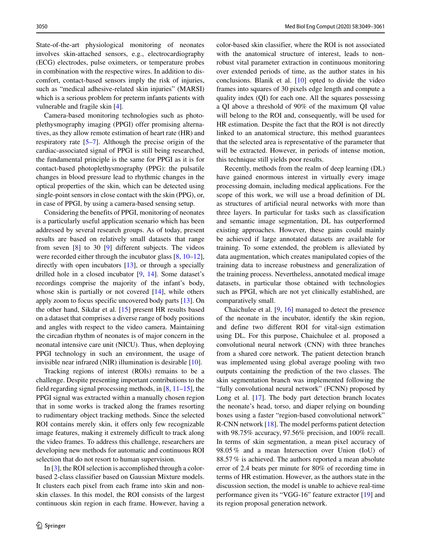State-of-the-art physiological monitoring of neonates involves skin-attached sensors, e.g., electrocardiography (ECG) electrodes, pulse oximeters, or temperature probes in combination with the respective wires. In addition to discomfort, contact-based sensors imply the risk of injuries, such as "medical adhesive-related skin injuries" (MARSI) which is a serious problem for preterm infants patients with vulnerable and fragile skin [\[4\]](#page-11-3).

Camera-based monitoring technologies such as photoplethysmography imaging (PPGI) offer promising alternatives, as they allow remote estimation of heart rate (HR) and respiratory rate [\[5–](#page-11-4)[7\]](#page-11-5). Although the precise origin of the cardiac-associated signal of PPGI is still being researched, the fundamental principle is the same for PPGI as it is for contact-based photoplethysmography (PPG): the pulsatile changes in blood pressure lead to rhythmic changes in the optical properties of the skin, which can be detected using single-point sensors in close contact with the skin (PPG), or, in case of PPGI, by using a camera-based sensing setup.

Considering the benefits of PPGI, monitoring of neonates is a particularly useful application scenario which has been addressed by several research groups. As of today, present results are based on relatively small datasets that range from seven [\[8\]](#page-11-6) to 30 [\[9\]](#page-11-7) different subjects. The videos were recorded either through the incubator glass  $[8, 10-12]$  $[8, 10-12]$  $[8, 10-12]$  $[8, 10-12]$ , directly with open incubators [\[13\]](#page-11-10), or through a specially drilled hole in a closed incubator [\[9,](#page-11-7) [14\]](#page-11-11). Some dataset's recordings comprise the majority of the infant's body, whose skin is partially or not covered  $[14]$ , while others apply zoom to focus specific uncovered body parts [\[13\]](#page-11-10). On the other hand, Sikdar et al. [\[15\]](#page-11-12) present HR results based on a dataset that comprises a diverse range of body positions and angles with respect to the video camera. Maintaining the circadian rhythm of neonates is of major concern in the neonatal intensive care unit (NICU). Thus, when deploying PPGI technology in such an environment, the usage of invisible near infrared (NIR) illumination is desirable [\[10\]](#page-11-8).

Tracking regions of interest (ROIs) remains to be a challenge. Despite presenting important contributions to the field regarding signal processing methods, in  $[8, 11-15]$  $[8, 11-15]$  $[8, 11-15]$ , the PPGI signal was extracted within a manually chosen region that in some works is tracked along the frames resorting to rudimentary object tracking methods. Since the selected ROI contains merely skin, it offers only few recognizable image features, making it extremely difficult to track along the video frames. To address this challenge, researchers are developing new methods for automatic and continuous ROI selection that do not resort to human supervision.

In [\[3\]](#page-11-2), the ROI selection is accomplished through a colorbased 2-class classifier based on Gaussian Mixture models. It clusters each pixel from each frame into skin and nonskin classes. In this model, the ROI consists of the largest continuous skin region in each frame. However, having a color-based skin classifier, where the ROI is not associated with the anatomical structure of interest, leads to nonrobust vital parameter extraction in continuous monitoring over extended periods of time, as the author states in his conclusions. Blanik et al. [\[10\]](#page-11-8) opted to divide the video frames into squares of 30 pixels edge length and compute a quality index (QI) for each one. All the squares possessing a QI above a threshold of 90% of the maximum QI value will belong to the ROI and, consequently, will be used for HR estimation. Despite the fact that the ROI is not directly linked to an anatomical structure, this method guarantees that the selected area is representative of the parameter that will be extracted. However, in periods of intense motion, this technique still yields poor results.

Recently, methods from the realm of deep learning (DL) have gained enormous interest in virtually every image processing domain, including medical applications. For the scope of this work, we will use a broad definition of DL as structures of artificial neural networks with more than three layers. In particular for tasks such as classification and semantic image segmentation, DL has outperformed existing approaches. However, these gains could mainly be achieved if large annotated datasets are available for training. To some extended, the problem is alleviated by data augmentation, which creates manipulated copies of the training data to increase robustness and generalization of the training process. Nevertheless, annotated medical image datasets, in particular those obtained with technologies such as PPGI, which are not yet clinically established, are comparatively small.

Chaichulee et al. [\[9,](#page-11-7) [16\]](#page-11-14) managed to detect the presence of the neonate in the incubator, identify the skin region, and define two different ROI for vital-sign estimation using DL. For this purpose, Chaichulee et al. proposed a convolutional neural network (CNN) with three branches from a shared core network. The patient detection branch was implemented using global average pooling with two outputs containing the prediction of the two classes. The skin segmentation branch was implemented following the "fully convolutional neural network" (FCNN) proposed by Long et al. [\[17\]](#page-11-15). The body part detection branch locates the neonate's head, torso, and diaper relying on bounding boxes using a faster "region-based convolutional network" R-CNN network [\[18\]](#page-12-0). The model performs patient detection with 98.75% accuracy, 97.56% precision, and 100% recall. In terms of skin segmentation, a mean pixel accuracy of 98.05 % and a mean Intersection over Union (IoU) of 88.57 % is achieved. The authors reported a mean absolute error of 2.4 beats per minute for 80% of recording time in terms of HR estimation. However, as the authors state in the discussion section, the model is unable to achieve real-time performance given its "VGG-16" feature extractor [\[19\]](#page-12-1) and its region proposal generation network.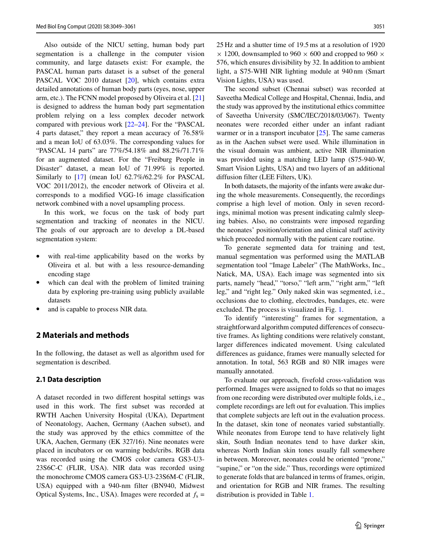Also outside of the NICU setting, human body part segmentation is a challenge in the computer vision community, and large datasets exist: For example, the PASCAL human parts dataset is a subset of the general PASCAL VOC 2010 dataset [\[20\]](#page-12-2), which contains extra detailed annotations of human body parts (eyes, nose, upper arm, etc.). The FCNN model proposed by Oliveira et al. [\[21\]](#page-12-3) is designed to address the human body part segmentation problem relying on a less complex decoder network compared with previous work [\[22](#page-12-4)[–24\]](#page-12-5). For the "PASCAL 4 parts dataset," they report a mean accuracy of 76.58% and a mean IoU of 63.03%. The corresponding values for "PASCAL 14 parts" are 77%/54.18% and 88.2%/71.71% for an augmented dataset. For the "Freiburg People in Disaster" dataset, a mean IoU of 71.99% is reported. Similarly to [\[17\]](#page-11-15) (mean IoU 62.7%/62.2% for PASCAL VOC 2011/2012), the encoder network of Oliveira et al. corresponds to a modified VGG-16 image classification network combined with a novel upsampling process.

In this work, we focus on the task of body part segmentation and tracking of neonates in the NICU. The goals of our approach are to develop a DL-based segmentation system:

- with real-time applicability based on the works by Oliveira et al. but with a less resource-demanding encoding stage
- which can deal with the problem of limited training data by exploring pre-training using publicly available datasets
- and is capable to process NIR data.

# **2 Materials and methods**

In the following, the dataset as well as algorithm used for segmentation is described.

#### **2.1 Data description**

A dataset recorded in two different hospital settings was used in this work. The first subset was recorded at RWTH Aachen University Hospital (UKA), Department of Neonatology, Aachen, Germany (Aachen subset), and the study was approved by the ethics committee of the UKA, Aachen, Germany (EK 327/16). Nine neonates were placed in incubators or on warming beds/cribs. RGB data was recorded using the CMOS color camera GS3-U3- 23S6C-C (FLIR, USA). NIR data was recorded using the monochrome CMOS camera GS3-U3-23S6M-C (FLIR, USA) equipped with a 940-nm filter (BN940, Midwest Optical Systems, Inc., USA). Images were recorded at  $f_s =$  25 Hz and a shutter time of 19.5 ms at a resolution of 1920  $\times$  1200, downsampled to 960  $\times$  600 and cropped to 960  $\times$ 576, which ensures divisibility by 32. In addition to ambient light, a S75-WHI NIR lighting module at 940 nm (Smart Vision Lights, USA) was used.

The second subset (Chennai subset) was recorded at Saveetha Medical College and Hospital, Chennai, India, and the study was approved by the institutional ethics committee of Saveetha University (SMC/IEC/2018/03/067). Twenty neonates were recorded either under an infant radiant warmer or in a transport incubator [\[25\]](#page-12-6). The same cameras as in the Aachen subset were used. While illumination in the visual domain was ambient, active NIR illumination was provided using a matching LED lamp (S75-940-W, Smart Vision Lights, USA) and two layers of an additional diffusion filter (LEE Filters, UK).

In both datasets, the majority of the infants were awake during the whole measurements. Consequently, the recordings comprise a high level of motion. Only in seven recordings, minimal motion was present indicating calmly sleeping babies. Also, no constraints were imposed regarding the neonates' position/orientation and clinical staff activity which proceeded normally with the patient care routine.

To generate segmented data for training and test, manual segmentation was performed using the MATLAB segmentation tool "Image Labeler" (The MathWorks, Inc., Natick, MA, USA). Each image was segmented into six parts, namely "head," "torso," "left arm," "right arm," "left leg," and "right leg." Only naked skin was segmented, i.e., occlusions due to clothing, electrodes, bandages, etc. were excluded. The process is visualized in Fig. [1.](#page-3-0)

To identify "interesting" frames for segmentation, a straightforward algorithm computed differences of consecutive frames. As lighting conditions were relatively constant, larger differences indicated movement. Using calculated differences as guidance, frames were manually selected for annotation. In total, 563 RGB and 80 NIR images were manually annotated.

To evaluate our approach, fivefold cross-validation was performed. Images were assigned to folds so that no images from one recording were distributed over multiple folds, i.e., complete recordings are left out for evaluation. This implies that complete subjects are left out in the evaluation process. In the dataset, skin tone of neonates varied substantially. While neonates from Europe tend to have relatively light skin, South Indian neonates tend to have darker skin, whereas North Indian skin tones usually fall somewhere in between. Moreover, neonates could be oriented "prone," "supine," or "on the side." Thus, recordings were optimized to generate folds that are balanced in terms of frames, origin, and orientation for RGB and NIR frames. The resulting distribution is provided in Table [1.](#page-3-1)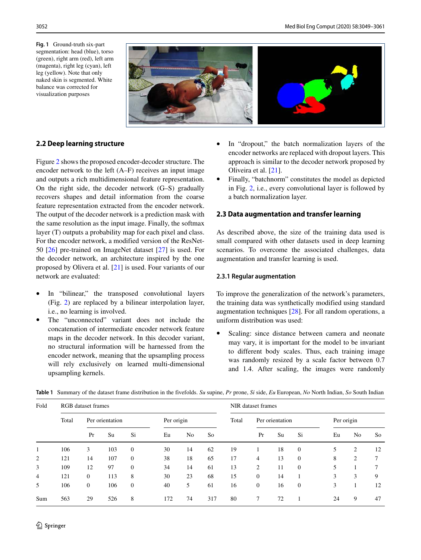<span id="page-3-0"></span>**Fig. 1** Ground-truth six-part segmentation: head (blue), torso (green), right arm (red), left arm (magenta), right leg (cyan), left leg (yellow). Note that only naked skin is segmented. White balance was corrected for visualization purposes



## **2.2 Deep learning structure**

Figure [2](#page-4-0) shows the proposed encoder-decoder structure. The encoder network to the left (A–F) receives an input image and outputs a rich multidimensional feature representation. On the right side, the decoder network (G–S) gradually recovers shapes and detail information from the coarse feature representation extracted from the encoder network. The output of the decoder network is a prediction mask with the same resolution as the input image. Finally, the softmax layer (T) outputs a probability map for each pixel and class. For the encoder network, a modified version of the ResNet-50 [\[26\]](#page-12-7) pre-trained on ImageNet dataset [\[27\]](#page-12-8) is used. For the decoder network, an architecture inspired by the one proposed by Olivera et al. [\[21\]](#page-12-3) is used. Four variants of our network are evaluated:

- In "bilinear," the transposed convolutional layers (Fig. [2\)](#page-4-0) are replaced by a bilinear interpolation layer, i.e., no learning is involved.
- The "unconnected" variant does not include the concatenation of intermediate encoder network feature maps in the decoder network. In this decoder variant, no structural information will be harnessed from the encoder network, meaning that the upsampling process will rely exclusively on learned multi-dimensional upsampling kernels.
- In "dropout," the batch normalization layers of the encoder networks are replaced with dropout layers. This approach is similar to the decoder network proposed by Oliveira et al. [\[21\]](#page-12-3).
- Finally, "batchnorm" constitutes the model as depicted in Fig. [2,](#page-4-0) i.e., every convolutional layer is followed by a batch normalization layer.

## **2.3 Data augmentation and transfer learning**

As described above, the size of the training data used is small compared with other datasets used in deep learning scenarios. To overcome the associated challenges, data augmentation and transfer learning is used.

#### **2.3.1 Regular augmentation**

To improve the generalization of the network's parameters, the training data was synthetically modified using standard augmentation techniques [\[28\]](#page-12-9). For all random operations, a uniform distribution was used:

Scaling: since distance between camera and neonate may vary, it is important for the model to be invariant to different body scales. Thus, each training image was randomly resized by a scale factor between 0.7 and 1.4. After scaling, the images were randomly

| Fold | <b>RGB</b> dataset frames |                |                 |                |     |            | NIR dataset frames |       |                 |    |          |    |                |    |  |
|------|---------------------------|----------------|-----------------|----------------|-----|------------|--------------------|-------|-----------------|----|----------|----|----------------|----|--|
|      | Total                     |                | Per orientation |                |     | Per origin |                    | Total | Per orientation |    |          |    | Per origin     |    |  |
|      |                           | Pr             | Su              | Si             | Eu  | No         | So                 |       | Pr              | Su | Si       | Eu | No             | So |  |
| 1    | 106                       | 3              | 103             | $\mathbf{0}$   | 30  | 14         | 62                 | 19    |                 | 18 | $\theta$ | 5  | $\overline{2}$ | 12 |  |
| 2    | 121                       | 14             | 107             | $\mathbf{0}$   | 38  | 18         | 65                 | 17    | 4               | 13 | $\theta$ | 8  | $\overline{2}$ |    |  |
| 3    | 109                       | 12             | 97              | $\mathbf{0}$   | 34  | 14         | 61                 | 13    | 2               | 11 | $\theta$ | 5  |                | 7  |  |
| 4    | 121                       | $\overline{0}$ | 113             | 8              | 30  | 23         | 68                 | 15    | $\overline{0}$  | 14 |          | 3  | 3              | 9  |  |
| 5    | 106                       | $\overline{0}$ | 106             | $\overline{0}$ | 40  | 5          | 61                 | 16    | $\overline{0}$  | 16 | $\theta$ | 3  |                | 12 |  |
| Sum  | 563                       | 29             | 526             | 8              | 172 | 74         | 317                | 80    | 7               | 72 |          | 24 | 9              | 47 |  |

<span id="page-3-1"></span>**Table 1** Summary of the dataset frame distribution in the fivefolds. *Su* supine, *Pr* prone, *Si* side, *Eu* European, *No* North Indian, *So* South Indian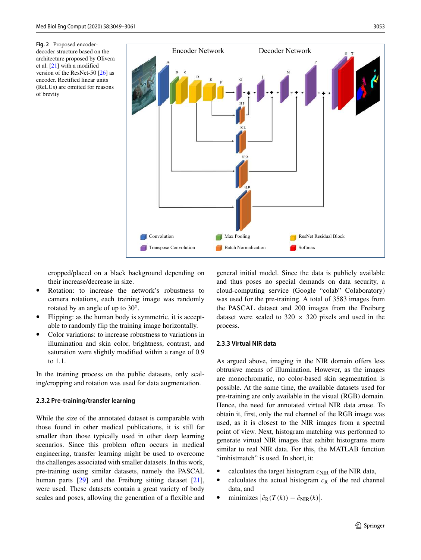<span id="page-4-0"></span>**Fig. 2** Proposed encoderdecoder structure based on the architecture proposed by Olivera et al. [\[21\]](#page-12-3) with a modified version of the ResNet-50 [\[26\]](#page-12-7) as encoder. Rectified linear units (ReLUs) are omitted for reasons of brevity



cropped/placed on a black background depending on their increase/decrease in size.

- Rotation: to increase the network's robustness to camera rotations, each training image was randomly rotated by an angle of up to  $30^\circ$ .
- Flipping: as the human body is symmetric, it is acceptable to randomly flip the training image horizontally.
- Color variations: to increase robustness to variations in illumination and skin color, brightness, contrast, and saturation were slightly modified within a range of 0.9 to 1.1.

In the training process on the public datasets, only scaling/cropping and rotation was used for data augmentation.

#### **2.3.2 Pre-training/transfer learning**

While the size of the annotated dataset is comparable with those found in other medical publications, it is still far smaller than those typically used in other deep learning scenarios. Since this problem often occurs in medical engineering, transfer learning might be used to overcome the challenges associated with smaller datasets. In this work, pre-training using similar datasets, namely the PASCAL human parts [\[29\]](#page-12-10) and the Freiburg sitting dataset [\[21\]](#page-12-3), were used. These datasets contain a great variety of body scales and poses, allowing the generation of a flexible and general initial model. Since the data is publicly available and thus poses no special demands on data security, a cloud-computing service (Google "colab" Colaboratory) was used for the pre-training. A total of 3583 images from the PASCAL dataset and 200 images from the Freiburg dataset were scaled to  $320 \times 320$  pixels and used in the process.

#### **2.3.3 Virtual NIR data**

As argued above, imaging in the NIR domain offers less obtrusive means of illumination. However, as the images are monochromatic, no color-based skin segmentation is possible. At the same time, the available datasets used for pre-training are only available in the visual (RGB) domain. Hence, the need for annotated virtual NIR data arose. To obtain it, first, only the red channel of the RGB image was used, as it is closest to the NIR images from a spectral point of view. Next, histogram matching was performed to generate virtual NIR images that exhibit histograms more similar to real NIR data. For this, the MATLAB function "imhistmatch" is used. In short, it:

- calculates the target histogram  $c_{\text{NIR}}$  of the NIR data,
- calculates the actual histogram  $c_R$  of the red channel data, and
- minimizes  $\left|\hat{c}_{R}(T(k)) \hat{c}_{NIR}(k)\right|$ .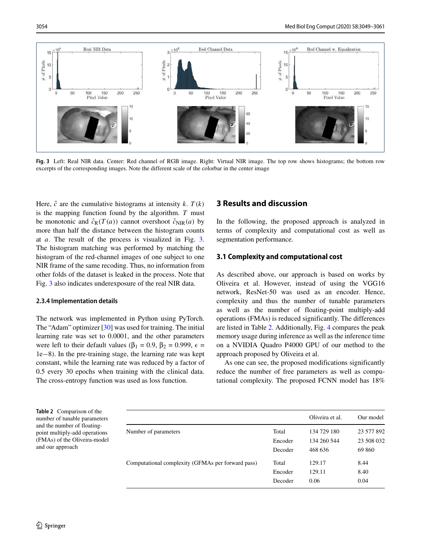<span id="page-5-0"></span>

**Fig. 3** Left: Real NIR data. Center: Red channel of RGB image. Right: Virtual NIR image. The top row shows histograms; the bottom row excerpts of the corresponding images. Note the different scale of the colorbar in the center image

Here,  $\hat{c}$  are the cumulative histograms at intensity k.  $T(k)$ is the mapping function found by the algorithm.  $T$  must be monotonic and  $\hat{c}_R(T(a))$  cannot overshoot  $\hat{c}_{NIR}(a)$  by more than half the distance between the histogram counts at a. The result of the process is visualized in Fig. [3.](#page-5-0) The histogram matching was performed by matching the histogram of the red-channel images of one subject to one NIR frame of the same recoding. Thus, no information from other folds of the dataset is leaked in the process. Note that Fig. [3](#page-5-0) also indicates underexposure of the real NIR data.

#### **2.3.4 Implementation details**

The network was implemented in Python using PyTorch. The "Adam" optimizer [\[30\]](#page-12-11) was used for training. The initial learning rate was set to 0.0001, and the other parameters were left to their default values ( $\beta_1 = 0.9$ ,  $\beta_2 = 0.999$ ,  $\epsilon =$ 1e−8). In the pre-training stage, the learning rate was kept constant, while the learning rate was reduced by a factor of 0.5 every 30 epochs when training with the clinical data. The cross-entropy function was used as loss function.

## **3 Results and discussion**

In the following, the proposed approach is analyzed in terms of complexity and computational cost as well as segmentation performance.

#### **3.1 Complexity and computational cost**

As described above, our approach is based on works by Oliveira et al. However, instead of using the VGG16 network, ResNet-50 was used as an encoder. Hence, complexity and thus the number of tunable parameters as well as the number of floating-point multiply-add operations (FMAs) is reduced significantly. The differences are listed in Table [2.](#page-5-1) Additionally, Fig. [4](#page-6-0) compares the peak memory usage during inference as well as the inference time on a NVIDIA Quadro P4000 GPU of our method to the approach proposed by Oliveira et al.

As one can see, the proposed modifications significantly reduce the number of free parameters as well as computational complexity. The proposed FCNN model has 18%

<span id="page-5-1"></span>**Table 2** Comparison of the number of tunable parameters and the number of floatingpoint multiply-add operations (FMAs) of the Oliveira-model and our approach

|         | Oliveira et al. | Our model  |
|---------|-----------------|------------|
| Total   | 134 729 180     | 23 577 892 |
| Encoder | 134 260 544     | 23 508 032 |
| Decoder | 468 636         | 69 860     |
| Total   | 129.17          | 8.44       |
| Encoder | 129.11          | 8.40       |
| Decoder | 0.06            | 0.04       |
|         |                 |            |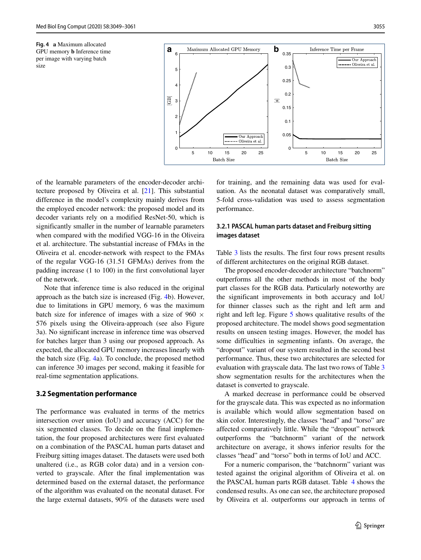<span id="page-6-0"></span>

of the learnable parameters of the encoder-decoder architecture proposed by Oliveira et al. [\[21\]](#page-12-3). This substantial difference in the model's complexity mainly derives from the employed encoder network: the proposed model and its decoder variants rely on a modified ResNet-50, which is significantly smaller in the number of learnable parameters when compared with the modified VGG-16 in the Oliveira et al. architecture. The substantial increase of FMAs in the Oliveira et al. encoder-network with respect to the FMAs of the regular VGG-16 (31.51 GFMAs) derives from the padding increase (1 to 100) in the first convolutional layer of the network.

Note that inference time is also reduced in the original approach as the batch size is increased (Fig. [4b](#page-6-0)). However, due to limitations in GPU memory, 6 was the maximum batch size for inference of images with a size of 960  $\times$ 576 pixels using the Oliveira-approach (see also Figure 3a). No significant increase in inference time was observed for batches larger than 3 using our proposed approach. As expected, the allocated GPU memory increases linearly with the batch size (Fig. [4a](#page-6-0)). To conclude, the proposed method can inference 30 images per second, making it feasible for real-time segmentation applications.

#### **3.2 Segmentation performance**

The performance was evaluated in terms of the metrics intersection over union (IoU) and accuracy (ACC) for the six segmented classes. To decide on the final implementation, the four proposed architectures were first evaluated on a combination of the PASCAL human parts dataset and Freiburg sitting images dataset. The datasets were used both unaltered (i.e., as RGB color data) and in a version converted to grayscale. After the final implementation was determined based on the external dataset, the performance of the algorithm was evaluated on the neonatal dataset. For the large external datasets, 90% of the datasets were used for training, and the remaining data was used for evaluation. As the neonatal dataset was comparatively small, 5-fold cross-validation was used to assess segmentation performance.

#### **3.2.1 PASCAL human parts dataset and Freiburg sitting images dataset**

Table [3](#page-7-0) lists the results. The first four rows present results of different architectures on the original RGB dataset.

The proposed encoder-decoder architecture "batchnorm" outperforms all the other methods in most of the body part classes for the RGB data. Particularly noteworthy are the significant improvements in both accuracy and IoU for thinner classes such as the right and left arm and right and left leg. Figure [5](#page-8-0) shows qualitative results of the proposed architecture. The model shows good segmentation results on unseen testing images. However, the model has some difficulties in segmenting infants. On average, the "dropout" variant of our system resulted in the second best performance. Thus, these two architectures are selected for evaluation with grayscale data. The last two rows of Table [3](#page-7-0) show segmentation results for the architectures when the dataset is converted to grayscale.

A marked decrease in performance could be observed for the grayscale data. This was expected as no information is available which would allow segmentation based on skin color. Interestingly, the classes "head" and "torso" are affected comparatively little. While the "dropout" network outperforms the "batchnorm" variant of the network architecture on average, it shows inferior results for the classes "head" and "torso" both in terms of IoU and ACC.

For a numeric comparison, the "batchnorm" variant was tested against the original algorithm of Oliveira et al. on the PASCAL human parts RGB dataset. Table [4](#page-8-1) shows the condensed results. As one can see, the architecture proposed by Oliveira et al. outperforms our approach in terms of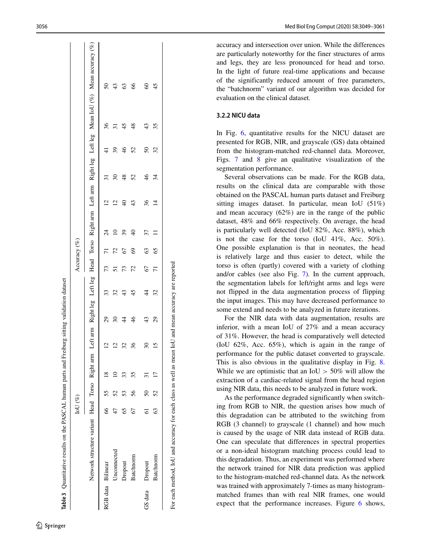|                   |                                                                                                                                                            | $IoU$ $(\%)$ |          |    |                 |                 |                | Accuracy (%)   |    |                 |               |                 |               |    |        |
|-------------------|------------------------------------------------------------------------------------------------------------------------------------------------------------|--------------|----------|----|-----------------|-----------------|----------------|----------------|----|-----------------|---------------|-----------------|---------------|----|--------|
|                   | Network structure variant Head Torso Right arm Left arm Right leg Left leg Head Torso Right arm Left arm Right leg Left leg Mean IoU (%) Mean accuracy (%) |              |          |    |                 |                 |                |                |    |                 |               |                 |               |    |        |
| RGB data Bilinear |                                                                                                                                                            | 66 55        |          |    | $\overline{c}$  | 29              | 33             | 73             |    | 24              |               |                 |               | 36 | $50\,$ |
|                   | Unconnected                                                                                                                                                |              |          |    | $\overline{c}$  | $\overline{30}$ | 32             | 51             |    |                 | S             | $\overline{30}$ | 39            |    | 43     |
|                   | Dropout                                                                                                                                                    | 65           |          | 33 | 32              | $\frac{4}{4}$   | 43             | 73             | 67 | 39              | $\frac{1}{4}$ | 48              | $\frac{4}{6}$ | 45 | 63     |
|                   | Batchnorm                                                                                                                                                  | 67           |          | 35 | 36              | 46              | 45             | 72             | 69 | $\overline{40}$ | 43            | 52              | 52            | 48 | 66     |
| GS data Dropout   |                                                                                                                                                            | ଌ            | $\delta$ |    | $\overline{30}$ | 43              | $\overline{4}$ | 67             | 63 | 37              | 36            | 46              |               | 43 | 8      |
|                   | Batchnorm                                                                                                                                                  | ĉ3           | 52       | 17 | 15              | 29              | 32             | $\overline{7}$ | 65 |                 | 4             | 34              | 32            | 35 | 45     |
|                   | For each method, IoU and accuracy for each class as well as mean IoU and mean accuracy are reported                                                        |              |          |    |                 |                 |                |                |    |                 |               |                 |               |    |        |

2 Springer

**Table 3** Quantitative results on the PASCAL human parts and Freiburg sitting validation dataset

Table 3 Quantitative results on the PASCAL human parts and Freiburg sitting validation dataset

accuracy and intersection over union. While the differences are particularly noteworthy for the finer structures of arms and legs, they are less pronounced for head and torso. In the light of future real-time applications and because of the significantly reduced amount of free parameters, the "batchnorm" variant of our algorithm was decided for evaluation on the clinical dataset.

#### **3.2.2 NICU data**

In Fig. [6,](#page-9-0) quantitative results for the NICU dataset are presented for RGB, NIR, and grayscale (GS) data obtained from the histogram-matched red-channel data. Moreover, Figs. [7](#page-9-1) and [8](#page-9-2) give an qualitative visualization of the segmentation performance.

Several observations can be made. For the RGB data, results on the clinical data are comparable with those obtained on the PASCAL human parts dataset and Freiburg sitting images dataset. In particular, mean IoU (51%) and mean accuracy (62%) are in the range of the public dataset, 48% and 66% respectively. On average, the head is particularly well detected (IoU 82%, Acc. 88%), which is not the case for the torso (IoU 41%, Acc. 50%). One possible explanation is that in neonates, the head is relatively large and thus easier to detect, while the torso is often (partly) covered with a variety of clothing and/or cables (see also Fig. [7\)](#page-9-1). In the current approach, the segmentation labels for left/right arms and legs were not flipped in the data augmentation process of flipping the input images. This may have decreased performance to some extend and needs to be analyzed in future iterations.

For the NIR data with data augmentation, results are inferior, with a mean IoU of 27% and a mean accuracy of 31%. However, the head is comparatively well detected (IoU 62%, Acc. 65%), which is again in the range of performance for the public dataset converted to grayscale. This is also obvious in the qualitative display in Fig. [8](#page-9-2). While we are optimistic that an  $IoU > 50\%$  will allow the extraction of a cardiac-related signal from the head region using NIR data, this needs to be analyzed in future work.

<span id="page-7-0"></span>As the performance degraded significantly when switching from RGB to NIR, the question arises how much of this degradation can be attributed to the switching from RGB (3 channel) to grayscale (1 channel) and how much is caused by the usage of NIR data instead of RGB data. One can speculate that differences in spectral properties or a non-ideal histogram matching process could lead to this degradation. Thus, an experiment was performed where the network trained for NIR data prediction was applied to the histogram-matched red-channel data. As the network was trained with approximately 7-times as many histogrammatched frames than with real NIR frames, one would expect that the performance increases. Figure [6](#page-9-0) shows,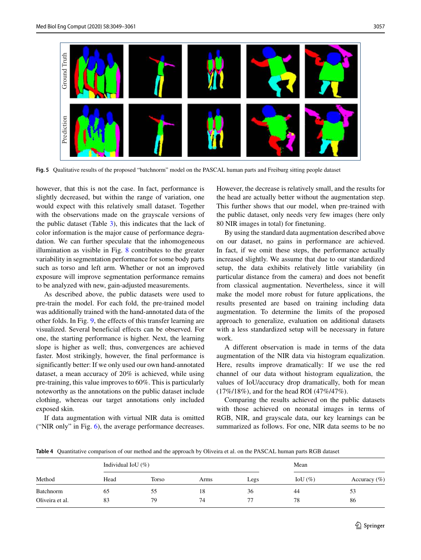<span id="page-8-0"></span>

**Fig. 5** Qualitative results of the proposed "batchnorm" model on the PASCAL human parts and Freiburg sitting people dataset

however, that this is not the case. In fact, performance is slightly decreased, but within the range of variation, one would expect with this relatively small dataset. Together with the observations made on the grayscale versions of the public dataset (Table [3\)](#page-7-0), this indicates that the lack of color information is the major cause of performance degradation. We can further speculate that the inhomogeneous illumination as visible in Fig. [8](#page-9-2) contributes to the greater variability in segmentation performance for some body parts such as torso and left arm. Whether or not an improved exposure will improve segmentation performance remains to be analyzed with new, gain-adjusted measurements.

As described above, the public datasets were used to pre-train the model. For each fold, the pre-trained model was additionally trained with the hand-annotated data of the other folds. In Fig. [9,](#page-10-0) the effects of this transfer learning are visualized. Several beneficial effects can be observed. For one, the starting performance is higher. Next, the learning slope is higher as well; thus, convergences are achieved faster. Most strikingly, however, the final performance is significantly better: If we only used our own hand-annotated dataset, a mean accuracy of 20% is achieved, while using pre-training, this value improves to 60%. This is particularly noteworthy as the annotations on the public dataset include clothing, whereas our target annotations only included exposed skin.

If data augmentation with virtual NIR data is omitted ("NIR only" in Fig. [6\)](#page-9-0), the average performance decreases. However, the decrease is relatively small, and the results for the head are actually better without the augmentation step. This further shows that our model, when pre-trained with the public dataset, only needs very few images (here only 80 NIR images in total) for finetuning.

By using the standard data augmentation described above on our dataset, no gains in performance are achieved. In fact, if we omit these steps, the performance actually increased slightly. We assume that due to our standardized setup, the data exhibits relatively little variability (in particular distance from the camera) and does not benefit from classical augmentation. Nevertheless, since it will make the model more robust for future applications, the results presented are based on training including data augmentation. To determine the limits of the proposed approach to generalize, evaluation on additional datasets with a less standardized setup will be necessary in future work.

A different observation is made in terms of the data augmentation of the NIR data via histogram equalization. Here, results improve dramatically: If we use the red channel of our data without histogram equalization, the values of IoU/accuracy drop dramatically, both for mean (17%/18%), and for the head ROI (47%/47%).

Comparing the results achieved on the public datasets with those achieved on neonatal images in terms of RGB, NIR, and grayscale data, our key learnings can be summarized as follows. For one, NIR data seems to be no

<span id="page-8-1"></span>**Table 4** Quantitative comparison of our method and the approach by Oliveira et al. on the PASCAL human parts RGB dataset

|                 | Individual IoU $(\% )$ |              |      |      | Mean      |              |
|-----------------|------------------------|--------------|------|------|-----------|--------------|
| Method          | Head                   | <b>Torso</b> | Arms | Legs | $IoU$ (%) | Accuracy (%) |
| Batchnorm       | 65                     | 55           | 18   | 36   | 44        | 53           |
| Oliveira et al. | 83                     | 79           | 74   | 77   | 78        | 86           |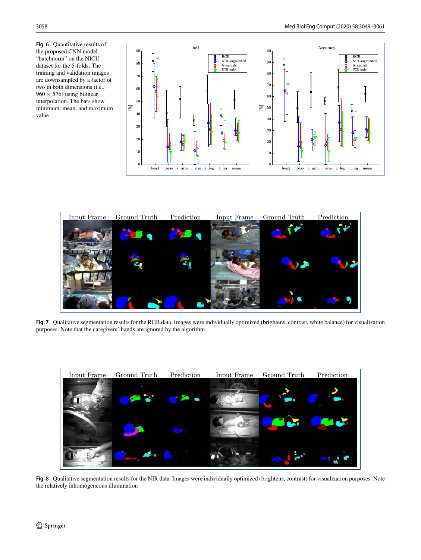<span id="page-9-0"></span>**Fig. 6** Quantitative results of the proposed CNN model "batchnorm" on the NICU dataset for the 5-folds. The training and validation images are downsampled by a factor of two in both dimensions (i.e.,  $960 \times 576$ ) using bilinear interpolation. The bars show minimum, mean, and maximum value



<span id="page-9-1"></span>

**Fig. 7** Qualitative segmentation results for the RGB data. Images were individually optimized (brightens, contrast, white balance) for visualization purposes. Note that the caregivers' hands are ignored by the algorithm

<span id="page-9-2"></span>

**Fig. 8** Qualitative segmentation results for the NIR data. Images were individually optimized (brightens, contrast) for visualization purposes. Note the relatively inhomogeneous illumination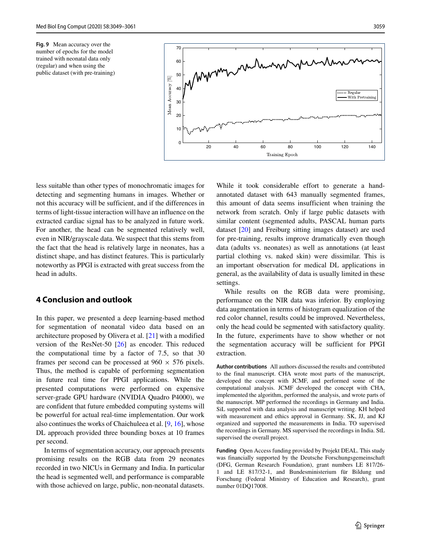<span id="page-10-0"></span>**Fig. 9** Mean accuracy over the number of epochs for the model trained with neonatal data only (regular) and when using the public dataset (with pre-training)



less suitable than other types of monochromatic images for detecting and segmenting humans in images. Whether or not this accuracy will be sufficient, and if the differences in terms of light-tissue interaction will have an influence on the extracted cardiac signal has to be analyzed in future work. For another, the head can be segmented relatively well, even in NIR/grayscale data. We suspect that this stems from the fact that the head is relatively large in neonates, has a distinct shape, and has distinct features. This is particularly noteworthy as PPGI is extracted with great success from the head in adults.

# **4 Conclusion and outlook**

In this paper, we presented a deep learning-based method for segmentation of neonatal video data based on an architecture proposed by Olivera et al. [\[21\]](#page-12-3) with a modified version of the ResNet-50 [\[26\]](#page-12-7) as encoder. This reduced the computational time by a factor of 7.5, so that 30 frames per second can be processed at  $960 \times 576$  pixels. Thus, the method is capable of performing segmentation in future real time for PPGI applications. While the presented computations were performed on expensive server-grade GPU hardware (NVIDIA Quadro P4000), we are confident that future embedded computing systems will be powerful for actual real-time implementation. Our work also continues the works of Chaichuleea et al. [\[9,](#page-11-7) [16\]](#page-11-14), whose DL approach provided three bounding boxes at 10 frames per second.

In terms of segmentation accuracy, our approach presents promising results on the RGB data from 29 neonates recorded in two NICUs in Germany and India. In particular the head is segmented well, and performance is comparable with those achieved on large, public, non-neonatal datasets.

While it took considerable effort to generate a handannotated dataset with 643 manually segmented frames, this amount of data seems insufficient when training the network from scratch. Only if large public datasets with similar content (segmented adults, PASCAL human parts dataset [\[20\]](#page-12-2) and Freiburg sitting images dataset) are used for pre-training, results improve dramatically even though data (adults vs. neonates) as well as annotations (at least partial clothing vs. naked skin) were dissimilar. This is an important observation for medical DL applications in general, as the availability of data is usually limited in these settings.

While results on the RGB data were promising, performance on the NIR data was inferior. By employing data augmentation in terms of histogram equalization of the red color channel, results could be improved. Nevertheless, only the head could be segmented with satisfactory quality. In the future, experiments have to show whether or not the segmentation accuracy will be sufficient for PPGI extraction.

**Author contributions** All authors discussed the results and contributed to the final manuscript. CHA wrote most parts of the manuscript, developed the concept with JCMF, and performed some of the computational analysis. JCMF developed the concept with CHA, implemented the algorithm, performed the analysis, and wrote parts of the manuscript. MP performed the recordings in Germany and India. SiL supported with data analysis and manuscript writing. KH helped with measurement and ethics approval in Germany. SK, JJ, and KJ organized and supported the measurements in India. TO supervised the recordings in Germany. MS supervised the recordings in India. StL supervised the overall project.

**Funding** Open Access funding provided by Projekt DEAL. This study was financially supported by the Deutsche Forschungsgemeinschaft (DFG, German Research Foundation), grant numbers LE 817/26- 1 and LE 817/32-1, and Bundesministerium für Bildung und Forschung (Federal Ministry of Education and Research), grant number 01DQ17008.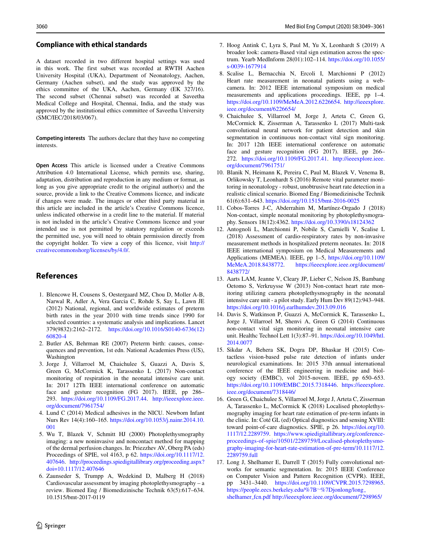#### **Compliance with ethical standards**

A dataset recorded in two different hospital settings was used in this work. The first subset was recorded at RWTH Aachen University Hospital (UKA), Department of Neonatology, Aachen, Germany (Aachen subset), and the study was approved by the ethics committee of the UKA, Aachen, Germany (EK 327/16). The second subset (Chennai subset) was recorded at Saveetha Medical College and Hospital, Chennai, India, and the study was approved by the institutional ethics committee of Saveetha University (SMC/IEC/2018/03/067).

**Competing interests** The authors declare that they have no competing interests.

**Open Access** This article is licensed under a Creative Commons Attribution 4.0 International License, which permits use, sharing, adaptation, distribution and reproduction in any medium or format, as long as you give appropriate credit to the original author(s) and the source, provide a link to the Creative Commons licence, and indicate if changes were made. The images or other third party material in this article are included in the article's Creative Commons licence, unless indicated otherwise in a credit line to the material. If material is not included in the article's Creative Commons licence and your intended use is not permitted by statutory regulation or exceeds the permitted use, you will need to obtain permission directly from the copyright holder. To view a copy of this licence, visit [http://](http://creativecommonshorg/licenses/by/4.0/) [creativecommonshorg/licenses/by/4.0/.](http://creativecommonshorg/licenses/by/4.0/)

## **References**

- <span id="page-11-0"></span>1. Blencowe H, Cousens S, Oestergaard MZ, Chou D, Moller A-B, Narwal R, Adler A, Vera Garcia C, Rohde S, Say L, Lawn JE (2012) National, regional, and worldwide estimates of preterm birth rates in the year 2010 with time trends since 1990 for selected countries: a systematic analysis and implications. Lancet 379(9832):2162–2172. [https://doi.org/10.1016/S0140-6736\(12\)](https://doi.org/10.1016/S0140-6736(12)60820-4) [60820-4](https://doi.org/10.1016/S0140-6736(12)60820-4)
- <span id="page-11-1"></span>2. Butler AS, Behrman RE (2007) Preterm birth: causes, consequences and prevention, 1st edn. National Academies Press (US), Washington
- <span id="page-11-2"></span>3. Jorge J, Villarroel M, Chaichulee S, Guazzi A, Davis S, Green G, McCormick K, Tarassenko L (2017) Non-contact monitoring of respiration in the neonatal intensive care unit. In: 2017 12Th IEEE international conference on automatic face and gesture recognition (FG 2017). IEEE, pp 286– 293. [https://doi.org/10.1109/FG.2017.44.](https://doi.org/10.1109/FG.2017.44) [http://ieeexplore.ieee.](http://ieeexplore.ieee.org/document/7961754/) [org/document/7961754/](http://ieeexplore.ieee.org/document/7961754/)
- <span id="page-11-3"></span>4. Lund C (2014) Medical adhesives in the NICU. Newborn Infant Nurs Rev 14(4):160–165. [https://doi.org/10.1053/j.nainr.2014.10.](https://doi.org/10.1053/j.nainr.2014.10.001) [001](https://doi.org/10.1053/j.nainr.2014.10.001)
- <span id="page-11-4"></span>5. Wu T, Blazek V, Schmitt HJ (2000) Photoplethysmography imaging: a new noninvasive and noncontact method for mapping of the dermal perfusion changes. In: Priezzhev AV, Oberg PA (eds) Proceedings of SPIE, vol 4163, p 62. [https://doi.org/10.1117/12.](https://doi.org/10.1117/12.407646) [407646.](https://doi.org/10.1117/12.407646) [http://proceedings.spiedigitallibrary.org/proceeding.aspx?](http://proceedings.spiedigitallibrary.org/proceeding.aspx?DOI=10.1117/12.407646) [doi=10.1117/12.407646](http://proceedings.spiedigitallibrary.org/proceeding.aspx?DOI=10.1117/12.407646)
- 6. Zaunseder S, Trumpp A, Wedekind D, Malberg H (2018) Cardiovascular assessment by imaging photoplethysmography – a review. Biomed Eng / Biomedizinische Technik 63(5):617–634. 10.1515/bmt-2017-0119
- <span id="page-11-5"></span>7. Hoog Antink C, Lyra S, Paul M, Yu X, Leonhardt S (2019) A broader look: camera-Based vital sign estimation across the spectrum. Yearb MedInform 28(01):102–114. [https://doi.org/10.1055/](https://doi.org/10.1055/s-0039-1677914) [s-0039-1677914](https://doi.org/10.1055/s-0039-1677914)
- <span id="page-11-6"></span>8. Scalise L, Bernacchia N, Ercoli I, Marchionni P (2012) Heart rate measurement in neonatal patients using a webcamera. In: 2012 IEEE international symposium on medical measurements and applications proceedings. IEEE, pp 1–4. [https://doi.org/10.1109/MeMeA.2012.6226654.](https://doi.org/10.1109/MeMeA.2012.6226654) [http://ieeexplore.](http://ieeexplore.ieee.org/document/6226654/) [ieee.org/document/6226654/](http://ieeexplore.ieee.org/document/6226654/)
- <span id="page-11-7"></span>9. Chaichulee S, Villarroel M, Jorge J, Arteta C, Green G, McCormick K, Zisserman A, Tarassenko L (2017) Multi-task convolutional neural network for patient detection and skin segmentation in continuous non-contact vital sign monitoring. In: 2017 12th IEEE international conference on automatic face and gesture recognition (FG 2017). IEEE, pp 266– 272. [https://doi.org/10.1109/FG.2017.41.](https://doi.org/10.1109/FG.2017.41) [http://ieeexplore.ieee.](http://ieeexplore.ieee.org/document/7961751/) [org/document/7961751/](http://ieeexplore.ieee.org/document/7961751/)
- <span id="page-11-8"></span>10. Blanik N, Heimann K, Pereira C, Paul M, Blazek V, Venema B, Orlikowsky T, Leonhardt S (2016) Remote vital parameter monitoring in neonatology - robust, unobtrusive heart rate detection in a realistic clinical scenario. Biomed Eng / Biomedizinische Technik 61(6):631–643. <https://doi.org/10.1515/bmt-2016-0025>
- <span id="page-11-13"></span>11. Cobos-Torres J-C, Abderrahim M, Martínez-Orgado J (2018) Non-contact, simple neonatal monitoring by photoplethysmography. Sensors 18(12):4362. <https://doi.org/10.3390/s18124362>
- <span id="page-11-9"></span>12. Antognoli L, Marchionni P, Nobile S, Carnielli V, Scalise L (2018) Assessment of cardio-respiratory rates by non-invasive measurement methods in hospitalized preterm neonates. In: 2018 IEEE international symposium on Medical Measurements and Applications (MEMEA). IEEE, pp 1–5, [https://doi.org/10.1109/](https://doi.org/10.1109/MeMeA.2018.8438772) [MeMeA.2018.8438772.](https://doi.org/10.1109/MeMeA.2018.8438772) [https://ieeexplore.ieee.org/document/](https://ieeexplore.ieee.org/document/8438772/) [8438772/](https://ieeexplore.ieee.org/document/8438772/)
- <span id="page-11-10"></span>13. Aarts LAM, Jeanne V, Cleary JP, Lieber C, Nelson JS, Bambang Oetomo S, Verkruysse W (2013) Non-contact heart rate monitoring utilizing camera photoplethysmography in the neonatal intensive care unit - a pilot study. Early Hum Dev 89(12):943–948. <https://doi.org/10.1016/j.earlhumdev.2013.09.016>
- <span id="page-11-11"></span>14. Davis S, Watkinson P, Guazzi A, McCormick K, Tarassenko L, Jorge J, Villarroel M, Shenvi A, Green G (2014) Continuous non-contact vital sign monitoring in neonatal intensive care unit. Healthc Technol Lett 1(3):87–91. [https://doi.org/10.1049/htl.](https://doi.org/10.1049/htl.2014.0077) [2014.0077](https://doi.org/10.1049/htl.2014.0077)
- <span id="page-11-12"></span>15. Sikdar A, Behera SK, Dogra DP, Bhaskar H (2015) Contactless vision-based pulse rate detection of infants under neurological examinations. In: 2015 37th annual international conference of the IEEE engineering in medicine and biology society (EMBC), vol 2015-novem. IEEE, pp 650–653. [https://doi.org/10.1109/EMBC.2015.7318446.](https://doi.org/10.1109/EMBC.2015.7318446) [https://ieeexplore.](https://ieeexplore.ieee.org/document/7318446/) [ieee.org/document/7318446/](https://ieeexplore.ieee.org/document/7318446/)
- <span id="page-11-14"></span>16. Green G, Chaichulee S, Villarroel M, Jorge J, Arteta C, Zisserman A, Tarassenko L, McCormick K (2018) Localised photoplethysmography imaging for heart rate estimation of pre-term infants in the clinic. In: Coté GL (ed) Optical diagnostics and sensing XVIII: toward point-of-care diagnostics. SPIE, p 26. [https://doi.org/10.](https://doi.org/10.1117/12.2289759) [1117/12.2289759.](https://doi.org/10.1117/12.2289759) [https://www.spiedigitallibrary.org/conference](https://www.spiedigitallibrary.org/conference-proceedings-of-spie/10501/2289759/Localised-photoplethysmography-imaging-for-heart-rate-estimation-of-pre-term/10.1117/12.2289759.full)[proceedings-of-spie/10501/2289759/Localised-photoplethysmo](https://www.spiedigitallibrary.org/conference-proceedings-of-spie/10501/2289759/Localised-photoplethysmography-imaging-for-heart-rate-estimation-of-pre-term/10.1117/12.2289759.full)[graphy-imaging-for-heart-rate-estimation-of-pre-term/10.1117/12.](https://www.spiedigitallibrary.org/conference-proceedings-of-spie/10501/2289759/Localised-photoplethysmography-imaging-for-heart-rate-estimation-of-pre-term/10.1117/12.2289759.full) [2289759.full](https://www.spiedigitallibrary.org/conference-proceedings-of-spie/10501/2289759/Localised-photoplethysmography-imaging-for-heart-rate-estimation-of-pre-term/10.1117/12.2289759.full)
- <span id="page-11-15"></span>17. Long J, Shelhamer E, Darrell T (2015) Fully convolutional networks for semantic segmentation. In: 2015 IEEE Conference on Computer Vision and Pattern Recognition (CVPR). IEEE, pp 3431–3440. [https://doi.org/10.1109/CVPR.2015.7298965.](https://doi.org/10.1109/CVPR.2015.7298965) [https://people.eecs.berkeley.edu/%7B](https://people.eecs.berkeley.edu/%7B{~}{%}7Djonlong/long{_}shelhamer{_}fcn.pdf)∼%7Djonlong/long [shelhamer](https://people.eecs.berkeley.edu/%7B{~}{%}7Djonlong/long{_}shelhamer{_}fcn.pdf) fcn.pdf<http://ieeexplore.ieee.org/document/7298965/>